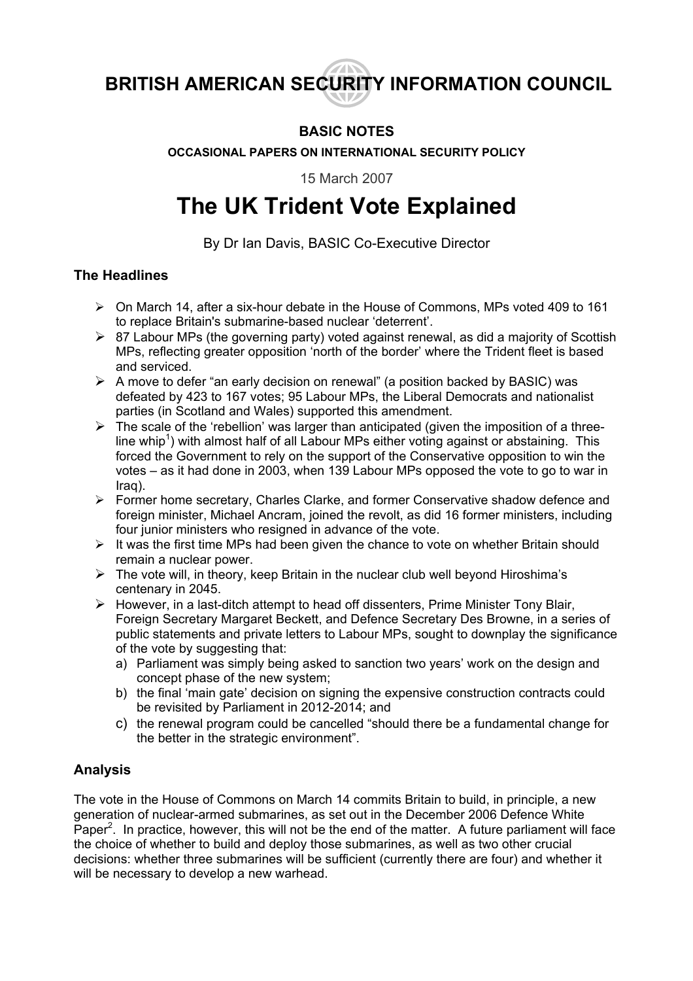**BRITISH AMERICAN SECURITY INFORMATION COUNCIL** 

## **BASIC NOTES**

**OCCASIONAL PAPERS ON INTERNATIONAL SECURITY POLICY** 

15 March 2007

# **The UK Trident Vote Explained**

By Dr Ian Davis, BASIC Co-Executive Director

#### **The Headlines**

- $\triangleright$  On March 14, after a six-hour debate in the House of Commons, MPs voted 409 to 161 to replace Britain's submarine-based nuclear 'deterrent'.
- $\triangleright$  87 Labour MPs (the governing party) voted against renewal, as did a majority of Scottish MPs, reflecting greater opposition 'north of the border' where the Trident fleet is based and serviced.
- $\triangleright$  A move to defer "an early decision on renewal" (a position backed by BASIC) was defeated by 423 to 167 votes; 95 Labour MPs, the Liberal Democrats and nationalist parties (in Scotland and Wales) supported this amendment.
- $\triangleright$  The scale of the 'rebellion' was larger than anticipated (given the imposition of a three-line whip<sup>[1](#page-3-0)</sup>) with almost half of all Labour MPs either voting against or abstaining. This forced the Government to rely on the support of the Conservative opposition to win the votes – as it had done in 2003, when 139 Labour MPs opposed the vote to go to war in Iraq).
- ¾ Former home secretary, Charles Clarke, and former Conservative shadow defence and foreign minister, Michael Ancram, joined the revolt, as did 16 former ministers, including four junior ministers who resigned in advance of the vote.
- $\triangleright$  It was the first time MPs had been given the chance to vote on whether Britain should remain a nuclear power.
- $\triangleright$  The vote will, in theory, keep Britain in the nuclear club well beyond Hiroshima's centenary in 2045.
- $\triangleright$  However, in a last-ditch attempt to head off dissenters, Prime Minister Tony Blair, Foreign Secretary Margaret Beckett, and Defence Secretary Des Browne, in a series of public statements and private letters to Labour MPs, sought to downplay the significance of the vote by suggesting that:
	- a) Parliament was simply being asked to sanction two years' work on the design and concept phase of the new system;
	- b) the final 'main gate' decision on signing the expensive construction contracts could be revisited by Parliament in 2012-2014; and
	- c) the renewal program could be cancelled "should there be a fundamental change for the better in the strategic environment".

## **Analysis**

The vote in the House of Commons on March 14 commits Britain to build, in principle, a new generation of nuclear-armed submarines, as set out in the December 2006 Defence White Paper<sup>[2](#page-3-1)</sup>. In practice, however, this will not be the end of the matter. A future parliament will face the choice of whether to build and deploy those submarines, as well as two other crucial decisions: whether three submarines will be sufficient (currently there are four) and whether it will be necessary to develop a new warhead.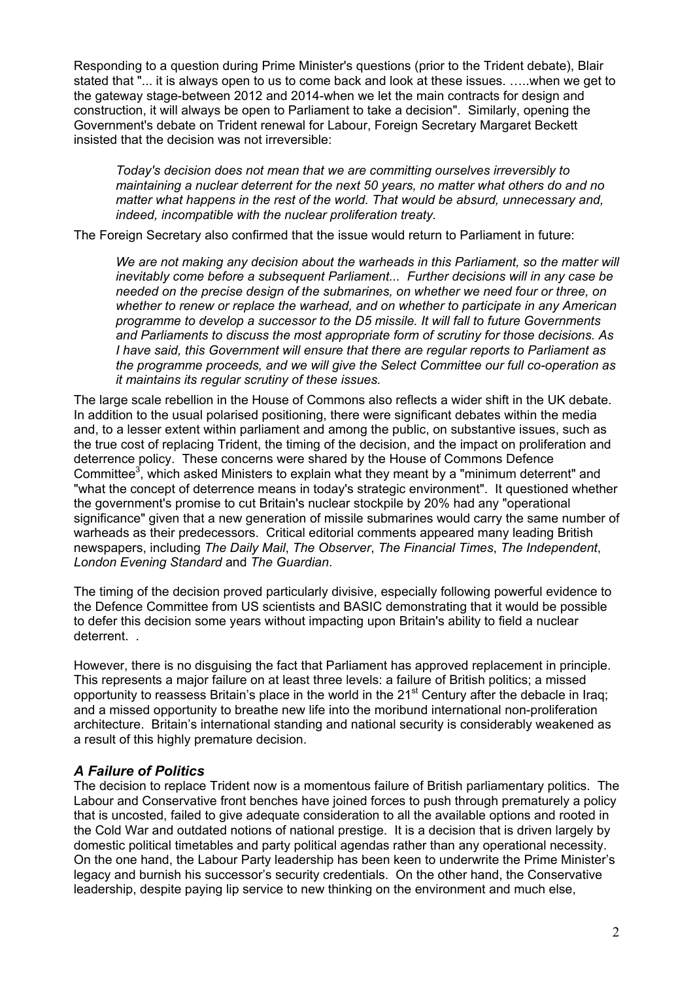Responding to a question during Prime Minister's questions (prior to the Trident debate), Blair stated that "... it is always open to us to come back and look at these issues. …..when we get to the gateway stage-between 2012 and 2014-when we let the main contracts for design and construction, it will always be open to Parliament to take a decision". Similarly, opening the Government's debate on Trident renewal for Labour, Foreign Secretary Margaret Beckett insisted that the decision was not irreversible:

*Today's decision does not mean that we are committing ourselves irreversibly to maintaining a nuclear deterrent for the next 50 years, no matter what others do and no matter what happens in the rest of the world. That would be absurd, unnecessary and, indeed, incompatible with the nuclear proliferation treaty.* 

The Foreign Secretary also confirmed that the issue would return to Parliament in future:

*We are not making any decision about the warheads in this Parliament, so the matter will inevitably come before a subsequent Parliament... Further decisions will in any case be needed on the precise design of the submarines, on whether we need four or three, on whether to renew or replace the warhead, and on whether to participate in any American programme to develop a successor to the D5 missile. It will fall to future Governments and Parliaments to discuss the most appropriate form of scrutiny for those decisions. As I have said, this Government will ensure that there are regular reports to Parliament as the programme proceeds, and we will give the Select Committee our full co-operation as it maintains its regular scrutiny of these issues.* 

The large scale rebellion in the House of Commons also reflects a wider shift in the UK debate. In addition to the usual polarised positioning, there were significant debates within the media and, to a lesser extent within parliament and among the public, on substantive issues, such as the true cost of replacing Trident, the timing of the decision, and the impact on proliferation and deterrence policy. These concerns were shared by the House of Commons Defence Committee<sup>[3](#page-3-2)</sup>, which asked Ministers to explain what they meant by a "minimum deterrent" and "what the concept of deterrence means in today's strategic environment". It questioned whether the government's promise to cut Britain's nuclear stockpile by 20% had any "operational significance" given that a new generation of missile submarines would carry the same number of warheads as their predecessors. Critical editorial comments appeared many leading British newspapers, including *The Daily Mail*, *The Observer*, *The Financial Times*, *The Independent*, *London Evening Standard* and *The Guardian*.

The timing of the decision proved particularly divisive, especially following powerful evidence to the Defence Committee from US scientists and BASIC demonstrating that it would be possible to defer this decision some years without impacting upon Britain's ability to field a nuclear deterrent. .

However, there is no disguising the fact that Parliament has approved replacement in principle. This represents a major failure on at least three levels: a failure of British politics; a missed opportunity to reassess Britain's place in the world in the  $21<sup>st</sup>$  Century after the debacle in Iraq; and a missed opportunity to breathe new life into the moribund international non-proliferation architecture. Britain's international standing and national security is considerably weakened as a result of this highly premature decision.

#### *A Failure of Politics*

The decision to replace Trident now is a momentous failure of British parliamentary politics. The Labour and Conservative front benches have joined forces to push through prematurely a policy that is uncosted, failed to give adequate consideration to all the available options and rooted in the Cold War and outdated notions of national prestige. It is a decision that is driven largely by domestic political timetables and party political agendas rather than any operational necessity. On the one hand, the Labour Party leadership has been keen to underwrite the Prime Minister's legacy and burnish his successor's security credentials. On the other hand, the Conservative leadership, despite paying lip service to new thinking on the environment and much else,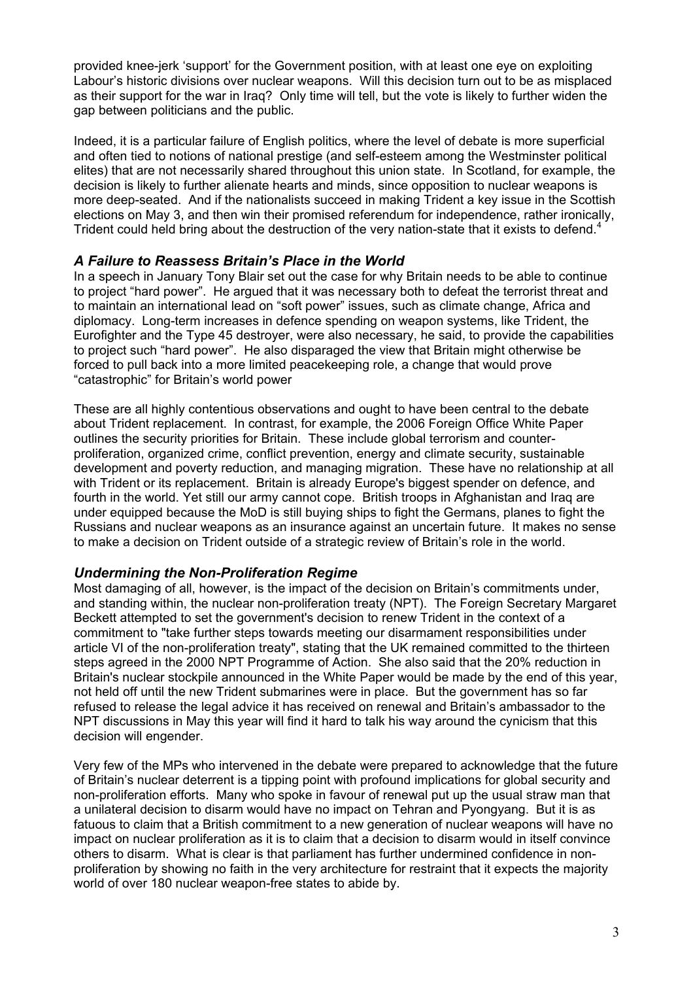provided knee-jerk 'support' for the Government position, with at least one eye on exploiting Labour's historic divisions over nuclear weapons. Will this decision turn out to be as misplaced as their support for the war in Iraq? Only time will tell, but the vote is likely to further widen the gap between politicians and the public.

Indeed, it is a particular failure of English politics, where the level of debate is more superficial and often tied to notions of national prestige (and self-esteem among the Westminster political elites) that are not necessarily shared throughout this union state. In Scotland, for example, the decision is likely to further alienate hearts and minds, since opposition to nuclear weapons is more deep-seated. And if the nationalists succeed in making Trident a key issue in the Scottish elections on May 3, and then win their promised referendum for independence, rather ironically, Trident could held bring about the destruction of the very nation-state that it exists to defend.<sup>[4](#page-3-3)</sup>

#### *A Failure to Reassess Britain's Place in the World*

In a speech in January Tony Blair set out the case for why Britain needs to be able to continue to project "hard power". He argued that it was necessary both to defeat the terrorist threat and to maintain an international lead on "soft power" issues, such as climate change, Africa and diplomacy. Long-term increases in defence spending on weapon systems, like Trident, the Eurofighter and the Type 45 destroyer, were also necessary, he said, to provide the capabilities to project such "hard power". He also disparaged the view that Britain might otherwise be forced to pull back into a more limited peacekeeping role, a change that would prove "catastrophic" for Britain's world power

These are all highly contentious observations and ought to have been central to the debate about Trident replacement. In contrast, for example, the 2006 Foreign Office White Paper outlines the security priorities for Britain. These include global terrorism and counterproliferation, organized crime, conflict prevention, energy and climate security, sustainable development and poverty reduction, and managing migration. These have no relationship at all with Trident or its replacement. Britain is already Europe's biggest spender on defence, and fourth in the world. Yet still our army cannot cope. British troops in Afghanistan and Iraq are under equipped because the MoD is still buying ships to fight the Germans, planes to fight the Russians and nuclear weapons as an insurance against an uncertain future. It makes no sense to make a decision on Trident outside of a strategic review of Britain's role in the world.

#### *Undermining the Non-Proliferation Regime*

Most damaging of all, however, is the impact of the decision on Britain's commitments under, and standing within, the nuclear non-proliferation treaty (NPT). The Foreign Secretary Margaret Beckett attempted to set the government's decision to renew Trident in the context of a commitment to "take further steps towards meeting our disarmament responsibilities under article VI of the non-proliferation treaty", stating that the UK remained committed to the thirteen steps agreed in the 2000 NPT Programme of Action. She also said that the 20% reduction in Britain's nuclear stockpile announced in the White Paper would be made by the end of this year, not held off until the new Trident submarines were in place. But the government has so far refused to release the legal advice it has received on renewal and Britain's ambassador to the NPT discussions in May this year will find it hard to talk his way around the cynicism that this decision will engender.

Very few of the MPs who intervened in the debate were prepared to acknowledge that the future of Britain's nuclear deterrent is a tipping point with profound implications for global security and non-proliferation efforts. Many who spoke in favour of renewal put up the usual straw man that a unilateral decision to disarm would have no impact on Tehran and Pyongyang. But it is as fatuous to claim that a British commitment to a new generation of nuclear weapons will have no impact on nuclear proliferation as it is to claim that a decision to disarm would in itself convince others to disarm. What is clear is that parliament has further undermined confidence in nonproliferation by showing no faith in the very architecture for restraint that it expects the majority world of over 180 nuclear weapon-free states to abide by.